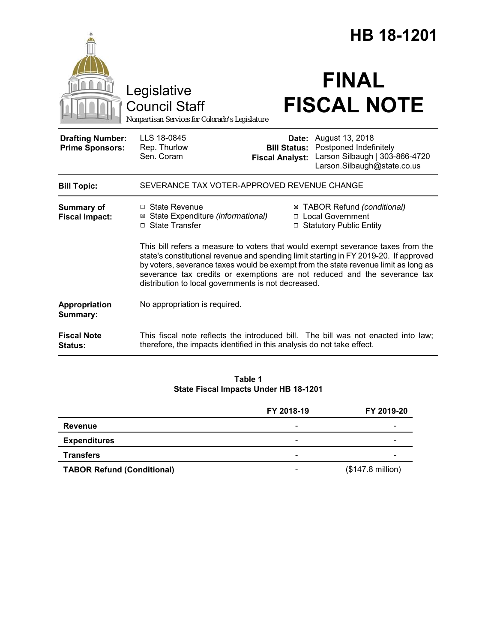|                                                   | Legislative                                                                                                                                                                                                                                                                                                                                                                                        |                                               | HB 18-1201<br><b>FINAL</b>                                                                                              |  |
|---------------------------------------------------|----------------------------------------------------------------------------------------------------------------------------------------------------------------------------------------------------------------------------------------------------------------------------------------------------------------------------------------------------------------------------------------------------|-----------------------------------------------|-------------------------------------------------------------------------------------------------------------------------|--|
|                                                   | <b>Council Staff</b><br>Nonpartisan Services for Colorado's Legislature                                                                                                                                                                                                                                                                                                                            |                                               | <b>FISCAL NOTE</b>                                                                                                      |  |
| <b>Drafting Number:</b><br><b>Prime Sponsors:</b> | LLS 18-0845<br>Rep. Thurlow<br>Sen. Coram                                                                                                                                                                                                                                                                                                                                                          | <b>Bill Status:</b><br><b>Fiscal Analyst:</b> | <b>Date:</b> August 13, 2018<br>Postponed Indefinitely<br>Larson Silbaugh   303-866-4720<br>Larson.Silbaugh@state.co.us |  |
| <b>Bill Topic:</b>                                | SEVERANCE TAX VOTER-APPROVED REVENUE CHANGE                                                                                                                                                                                                                                                                                                                                                        |                                               |                                                                                                                         |  |
| <b>Summary of</b><br><b>Fiscal Impact:</b>        | $\Box$ State Revenue<br>⊠ State Expenditure (informational)<br>□ State Transfer                                                                                                                                                                                                                                                                                                                    |                                               | ⊠ TABOR Refund (conditional)<br>□ Local Government<br>□ Statutory Public Entity                                         |  |
|                                                   | This bill refers a measure to voters that would exempt severance taxes from the<br>state's constitutional revenue and spending limit starting in FY 2019-20. If approved<br>by voters, severance taxes would be exempt from the state revenue limit as long as<br>severance tax credits or exemptions are not reduced and the severance tax<br>distribution to local governments is not decreased. |                                               |                                                                                                                         |  |
| Appropriation<br>Summary:                         | No appropriation is required.                                                                                                                                                                                                                                                                                                                                                                      |                                               |                                                                                                                         |  |
| <b>Fiscal Note</b><br>Status:                     | therefore, the impacts identified in this analysis do not take effect.                                                                                                                                                                                                                                                                                                                             |                                               | This fiscal note reflects the introduced bill. The bill was not enacted into law;                                       |  |

**Table 1 State Fiscal Impacts Under HB 18-1201**

|                                   | FY 2018-19               | FY 2019-20                 |
|-----------------------------------|--------------------------|----------------------------|
| <b>Revenue</b>                    |                          |                            |
| <b>Expenditures</b>               | -                        |                            |
| <b>Transfers</b>                  | $\overline{\phantom{a}}$ |                            |
| <b>TABOR Refund (Conditional)</b> | $\overline{\phantom{a}}$ | $($147.8 \text{ million})$ |
|                                   |                          |                            |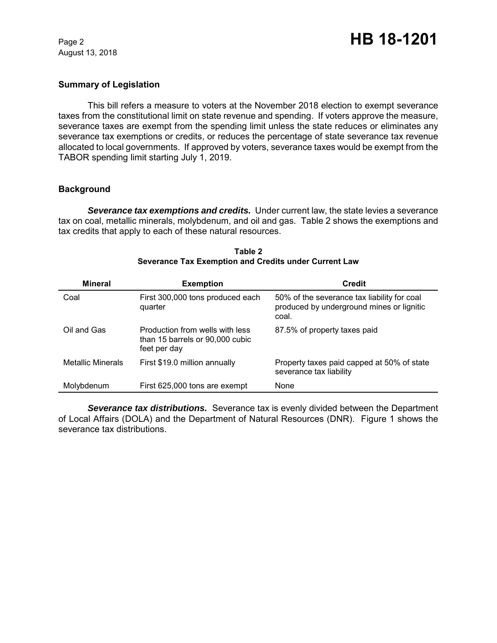August 13, 2018

#### **Summary of Legislation**

This bill refers a measure to voters at the November 2018 election to exempt severance taxes from the constitutional limit on state revenue and spending. If voters approve the measure, severance taxes are exempt from the spending limit unless the state reduces or eliminates any severance tax exemptions or credits, or reduces the percentage of state severance tax revenue allocated to local governments. If approved by voters, severance taxes would be exempt from the TABOR spending limit starting July 1, 2019.

#### **Background**

**Severance tax exemptions and credits.** Under current law, the state levies a severance tax on coal, metallic minerals, molybdenum, and oil and gas. Table 2 shows the exemptions and tax credits that apply to each of these natural resources.

| <b>Mineral</b>    | <b>Exemption</b>                                                                   | <b>Credit</b>                                                                                     |
|-------------------|------------------------------------------------------------------------------------|---------------------------------------------------------------------------------------------------|
| Coal              | First 300,000 tons produced each<br>quarter                                        | 50% of the severance tax liability for coal<br>produced by underground mines or lignitic<br>coal. |
| Oil and Gas       | Production from wells with less<br>than 15 barrels or 90,000 cubic<br>feet per day | 87.5% of property taxes paid                                                                      |
| Metallic Minerals | First \$19.0 million annually                                                      | Property taxes paid capped at 50% of state<br>severance tax liability                             |
| Molybdenum        | First 625,000 tons are exempt                                                      | None                                                                                              |

#### **Table 2 Severance Tax Exemption and Credits under Current Law**

*Severance tax distributions.* Severance tax is evenly divided between the Department of Local Affairs (DOLA) and the Department of Natural Resources (DNR). Figure 1 shows the severance tax distributions.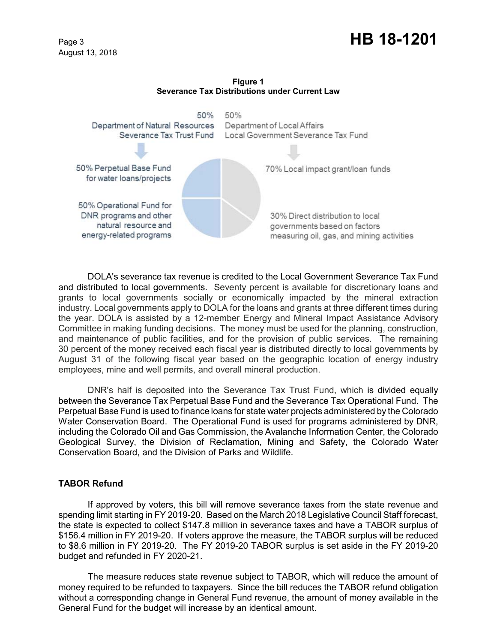# Page 3 **HB 18-1201**

August 13, 2018

**Figure 1 Severance Tax Distributions under Current Law**



DOLA's severance tax revenue is credited to the Local Government Severance Tax Fund and distributed to local governments. Seventy percent is available for discretionary loans and grants to local governments socially or economically impacted by the mineral extraction industry. Local governments apply to DOLA for the loans and grants at three different times during the year. DOLA is assisted by a 12-member Energy and Mineral Impact Assistance Advisory Committee in making funding decisions. The money must be used for the planning, construction, and maintenance of public facilities, and for the provision of public services. The remaining 30 percent of the money received each fiscal year is distributed directly to local governments by August 31 of the following fiscal year based on the geographic location of energy industry employees, mine and well permits, and overall mineral production.

DNR's half is deposited into the Severance Tax Trust Fund, which is divided equally between the Severance Tax Perpetual Base Fund and the Severance Tax Operational Fund. The Perpetual Base Fund is used to finance loans for state water projects administered by the Colorado Water Conservation Board. The Operational Fund is used for programs administered by DNR, including the Colorado Oil and Gas Commission, the Avalanche Information Center, the Colorado Geological Survey, the Division of Reclamation, Mining and Safety, the Colorado Water Conservation Board, and the Division of Parks and Wildlife.

## **TABOR Refund**

If approved by voters, this bill will remove severance taxes from the state revenue and spending limit starting in FY 2019-20. Based on the March 2018 Legislative Council Staff forecast, the state is expected to collect \$147.8 million in severance taxes and have a TABOR surplus of \$156.4 million in FY 2019-20. If voters approve the measure, the TABOR surplus will be reduced to \$8.6 million in FY 2019-20. The FY 2019-20 TABOR surplus is set aside in the FY 2019-20 budget and refunded in FY 2020-21.

The measure reduces state revenue subject to TABOR, which will reduce the amount of money required to be refunded to taxpayers. Since the bill reduces the TABOR refund obligation without a corresponding change in General Fund revenue, the amount of money available in the General Fund for the budget will increase by an identical amount.